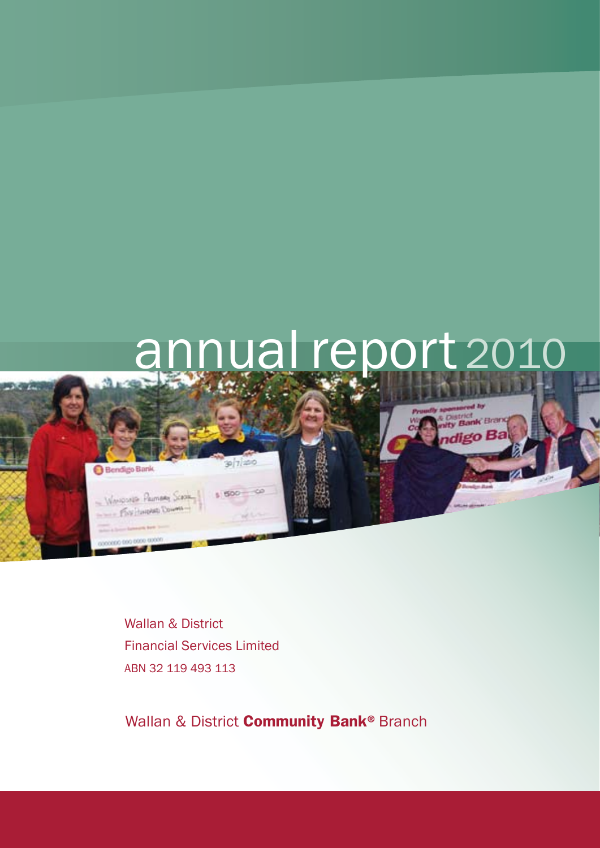

Wallan & District Financial Services Limited ABN 32 119 493 113

Wallan & District **Community Bank®** Branch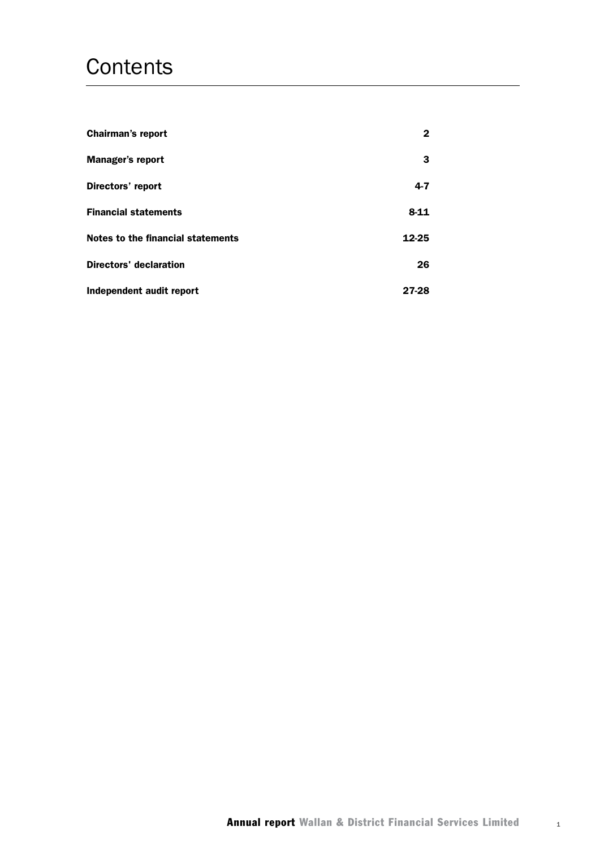## **Contents**

| <b>Chairman's report</b>                 | 2        |
|------------------------------------------|----------|
| <b>Manager's report</b>                  | 3        |
| Directors' report                        | $4 - 7$  |
| <b>Financial statements</b>              | $8 - 11$ |
| <b>Notes to the financial statements</b> | 12-25    |
| <b>Directors' declaration</b>            | 26       |
| Independent audit report                 | 27-28    |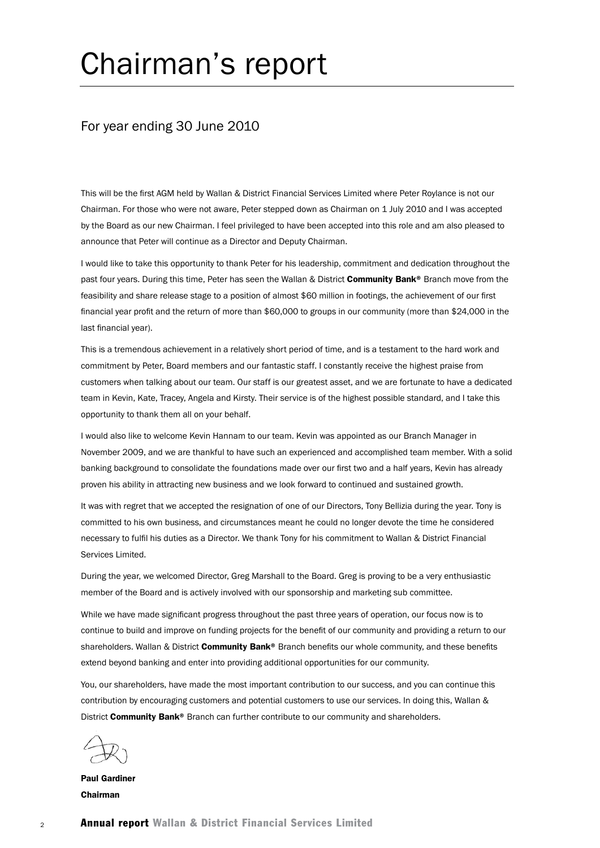# Chairman's report

### For year ending 30 June 2010

This will be the first AGM held by Wallan & District Financial Services Limited where Peter Roylance is not our Chairman. For those who were not aware, Peter stepped down as Chairman on 1 July 2010 and I was accepted by the Board as our new Chairman. I feel privileged to have been accepted into this role and am also pleased to announce that Peter will continue as a Director and Deputy Chairman.

I would like to take this opportunity to thank Peter for his leadership, commitment and dedication throughout the past four years. During this time, Peter has seen the Wallan & District Community Bank® Branch move from the feasibility and share release stage to a position of almost \$60 million in footings, the achievement of our first financial year profit and the return of more than \$60,000 to groups in our community (more than \$24,000 in the last financial year).

This is a tremendous achievement in a relatively short period of time, and is a testament to the hard work and commitment by Peter, Board members and our fantastic staff. I constantly receive the highest praise from customers when talking about our team. Our staff is our greatest asset, and we are fortunate to have a dedicated team in Kevin, Kate, Tracey, Angela and Kirsty. Their service is of the highest possible standard, and I take this opportunity to thank them all on your behalf.

I would also like to welcome Kevin Hannam to our team. Kevin was appointed as our Branch Manager in November 2009, and we are thankful to have such an experienced and accomplished team member. With a solid banking background to consolidate the foundations made over our first two and a half years, Kevin has already proven his ability in attracting new business and we look forward to continued and sustained growth.

It was with regret that we accepted the resignation of one of our Directors, Tony Bellizia during the year. Tony is committed to his own business, and circumstances meant he could no longer devote the time he considered necessary to fulfil his duties as a Director. We thank Tony for his commitment to Wallan & District Financial Services Limited.

During the year, we welcomed Director, Greg Marshall to the Board. Greg is proving to be a very enthusiastic member of the Board and is actively involved with our sponsorship and marketing sub committee.

While we have made significant progress throughout the past three years of operation, our focus now is to continue to build and improve on funding projects for the benefit of our community and providing a return to our shareholders. Wallan & District Community Bank® Branch benefits our whole community, and these benefits extend beyond banking and enter into providing additional opportunities for our community.

You, our shareholders, have made the most important contribution to our success, and you can continue this contribution by encouraging customers and potential customers to use our services. In doing this, Wallan & District Community Bank® Branch can further contribute to our community and shareholders.

Paul Gardiner Chairman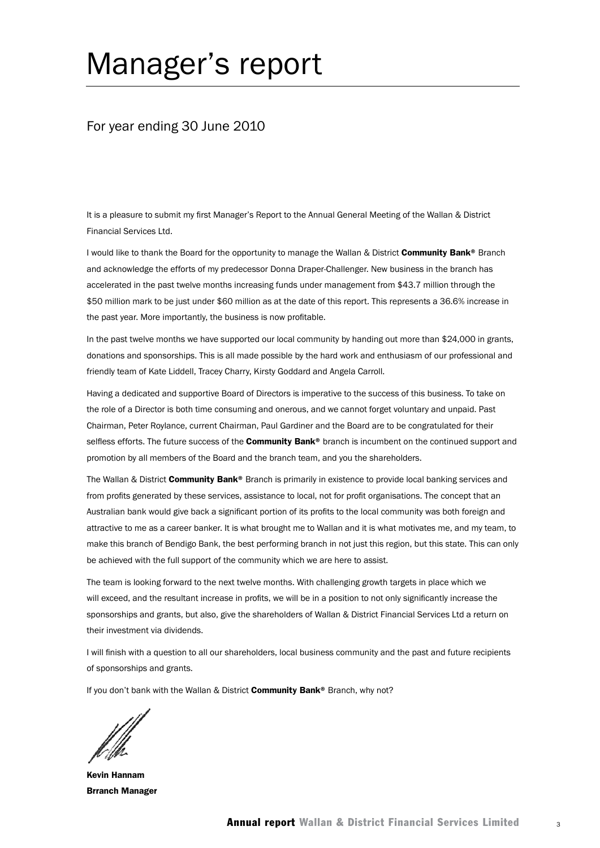# Manager's report

### For year ending 30 June 2010

It is a pleasure to submit my first Manager's Report to the Annual General Meeting of the Wallan & District Financial Services Ltd.

I would like to thank the Board for the opportunity to manage the Wallan & District Community Bank® Branch and acknowledge the efforts of my predecessor Donna Draper-Challenger. New business in the branch has accelerated in the past twelve months increasing funds under management from \$43.7 million through the \$50 million mark to be just under \$60 million as at the date of this report. This represents a 36.6% increase in the past year. More importantly, the business is now profitable.

In the past twelve months we have supported our local community by handing out more than \$24,000 in grants, donations and sponsorships. This is all made possible by the hard work and enthusiasm of our professional and friendly team of Kate Liddell, Tracey Charry, Kirsty Goddard and Angela Carroll.

Having a dedicated and supportive Board of Directors is imperative to the success of this business. To take on the role of a Director is both time consuming and onerous, and we cannot forget voluntary and unpaid. Past Chairman, Peter Roylance, current Chairman, Paul Gardiner and the Board are to be congratulated for their selfless efforts. The future success of the **Community Bank®** branch is incumbent on the continued support and promotion by all members of the Board and the branch team, and you the shareholders.

The Wallan & District **Community Bank®** Branch is primarily in existence to provide local banking services and from profits generated by these services, assistance to local, not for profit organisations. The concept that an Australian bank would give back a significant portion of its profits to the local community was both foreign and attractive to me as a career banker. It is what brought me to Wallan and it is what motivates me, and my team, to make this branch of Bendigo Bank, the best performing branch in not just this region, but this state. This can only be achieved with the full support of the community which we are here to assist.

The team is looking forward to the next twelve months. With challenging growth targets in place which we will exceed, and the resultant increase in profits, we will be in a position to not only significantly increase the sponsorships and grants, but also, give the shareholders of Wallan & District Financial Services Ltd a return on their investment via dividends.

I will finish with a question to all our shareholders, local business community and the past and future recipients of sponsorships and grants.

If you don't bank with the Wallan & District Community Bank® Branch, why not?

Kevin Hannam Brranch Manager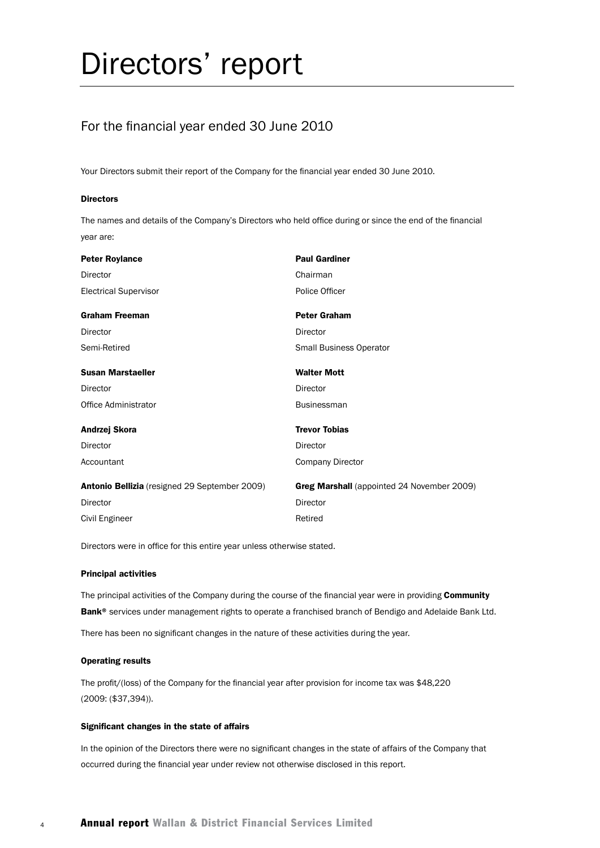# Directors' report

## For the financial year ended 30 June 2010

Your Directors submit their report of the Company for the financial year ended 30 June 2010.

#### **Directors**

The names and details of the Company's Directors who held office during or since the end of the financial year are:

| <b>Peter Roylance</b>                         | <b>Paul Gardiner</b>                              |
|-----------------------------------------------|---------------------------------------------------|
| Director                                      | Chairman                                          |
| <b>Electrical Supervisor</b>                  | Police Officer                                    |
| <b>Graham Freeman</b>                         | <b>Peter Graham</b>                               |
| Director                                      | Director                                          |
| Semi-Retired                                  | Small Business Operator                           |
| <b>Susan Marstaeller</b>                      | <b>Walter Mott</b>                                |
| Director                                      | Director                                          |
| Office Administrator                          | <b>Businessman</b>                                |
| Andrzej Skora                                 | <b>Trevor Tobias</b>                              |
| Director                                      | Director                                          |
| Accountant                                    | <b>Company Director</b>                           |
| Antonio Bellizia (resigned 29 September 2009) | <b>Greg Marshall</b> (appointed 24 November 2009) |
| Director                                      | Director                                          |
| Civil Engineer                                | Retired                                           |

Directors were in office for this entire year unless otherwise stated.

#### Principal activities

The principal activities of the Company during the course of the financial year were in providing Community Bank<sup>®</sup> services under management rights to operate a franchised branch of Bendigo and Adelaide Bank Ltd.

There has been no significant changes in the nature of these activities during the year.

#### Operating results

The profit/(loss) of the Company for the financial year after provision for income tax was \$48,220 (2009: (\$37,394)).

#### Significant changes in the state of affairs

In the opinion of the Directors there were no significant changes in the state of affairs of the Company that occurred during the financial year under review not otherwise disclosed in this report.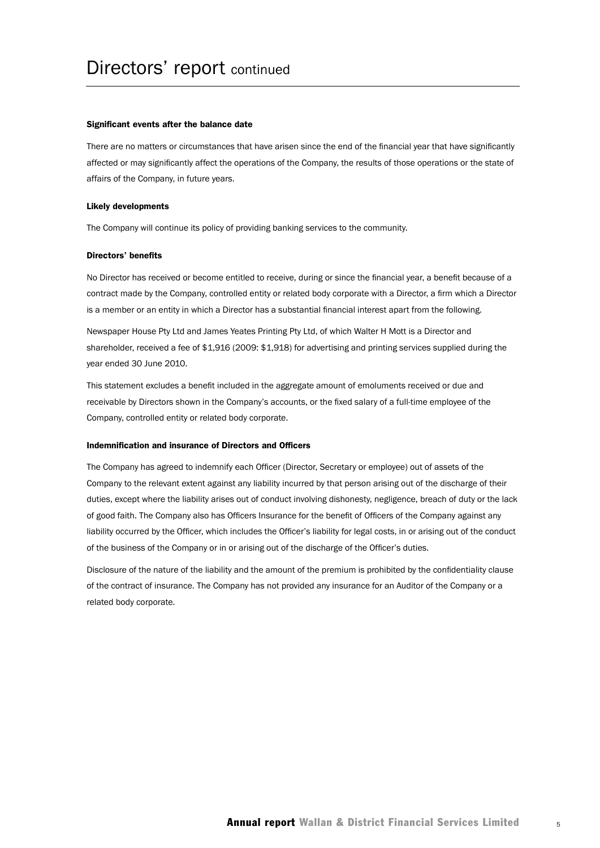#### Significant events after the balance date

There are no matters or circumstances that have arisen since the end of the financial year that have significantly affected or may significantly affect the operations of the Company, the results of those operations or the state of affairs of the Company, in future years.

#### Likely developments

The Company will continue its policy of providing banking services to the community.

#### Directors' benefits

No Director has received or become entitled to receive, during or since the financial year, a benefit because of a contract made by the Company, controlled entity or related body corporate with a Director, a firm which a Director is a member or an entity in which a Director has a substantial financial interest apart from the following.

Newspaper House Pty Ltd and James Yeates Printing Pty Ltd, of which Walter H Mott is a Director and shareholder, received a fee of \$1,916 (2009: \$1,918) for advertising and printing services supplied during the year ended 30 June 2010.

This statement excludes a benefit included in the aggregate amount of emoluments received or due and receivable by Directors shown in the Company's accounts, or the fixed salary of a full-time employee of the Company, controlled entity or related body corporate.

#### Indemnification and insurance of Directors and Officers

The Company has agreed to indemnify each Officer (Director, Secretary or employee) out of assets of the Company to the relevant extent against any liability incurred by that person arising out of the discharge of their duties, except where the liability arises out of conduct involving dishonesty, negligence, breach of duty or the lack of good faith. The Company also has Officers Insurance for the benefit of Officers of the Company against any liability occurred by the Officer, which includes the Officer's liability for legal costs, in or arising out of the conduct of the business of the Company or in or arising out of the discharge of the Officer's duties.

Disclosure of the nature of the liability and the amount of the premium is prohibited by the confidentiality clause of the contract of insurance. The Company has not provided any insurance for an Auditor of the Company or a related body corporate.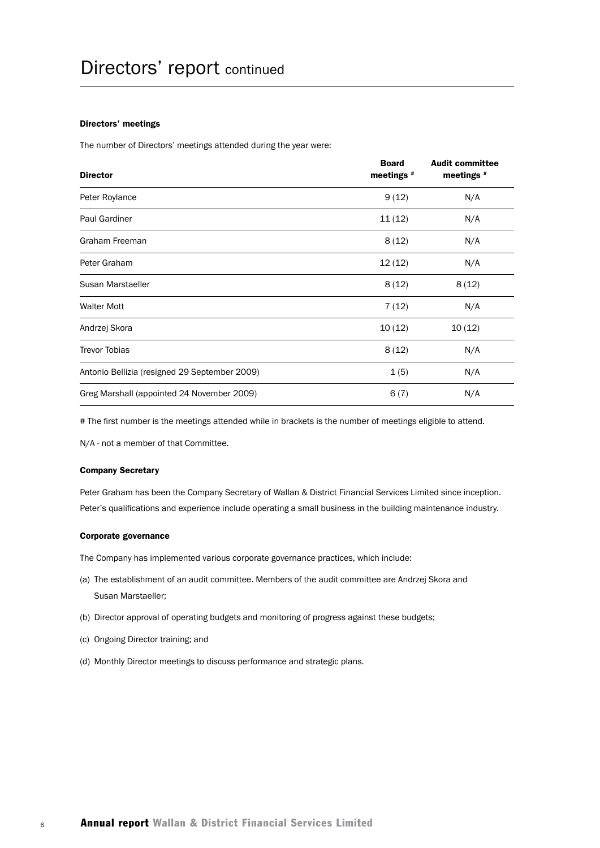#### Directors' meetings

The number of Directors' meetings attended during the year were:

| <b>Director</b>                               | <b>Board</b><br>meetings # | <b>Audit committee</b><br>meetings # |
|-----------------------------------------------|----------------------------|--------------------------------------|
| Peter Roylance                                | 9(12)                      | N/A                                  |
| <b>Paul Gardiner</b>                          | 11(12)                     | N/A                                  |
| Graham Freeman                                | 8(12)                      | N/A                                  |
| Peter Graham                                  | 12(12)                     | N/A                                  |
| Susan Marstaeller                             | 8(12)                      | 8(12)                                |
| <b>Walter Mott</b>                            | 7(12)                      | N/A                                  |
| Andrzej Skora                                 | 10(12)                     | 10(12)                               |
| <b>Trevor Tobias</b>                          | 8(12)                      | N/A                                  |
| Antonio Bellizia (resigned 29 September 2009) | 1(5)                       | N/A                                  |
| Greg Marshall (appointed 24 November 2009)    | 6(7)                       | N/A                                  |

# The first number is the meetings attended while in brackets is the number of meetings eligible to attend.

N/A - not a member of that Committee.

#### Company Secretary

Peter Graham has been the Company Secretary of Wallan & District Financial Services Limited since inception. Peter's qualifications and experience include operating a small business in the building maintenance industry.

#### Corporate governance

The Company has implemented various corporate governance practices, which include:

- (a) The establishment of an audit committee. Members of the audit committee are Andrzej Skora and Susan Marstaeller;
- (b) Director approval of operating budgets and monitoring of progress against these budgets;
- (c) Ongoing Director training; and
- (d) Monthly Director meetings to discuss performance and strategic plans.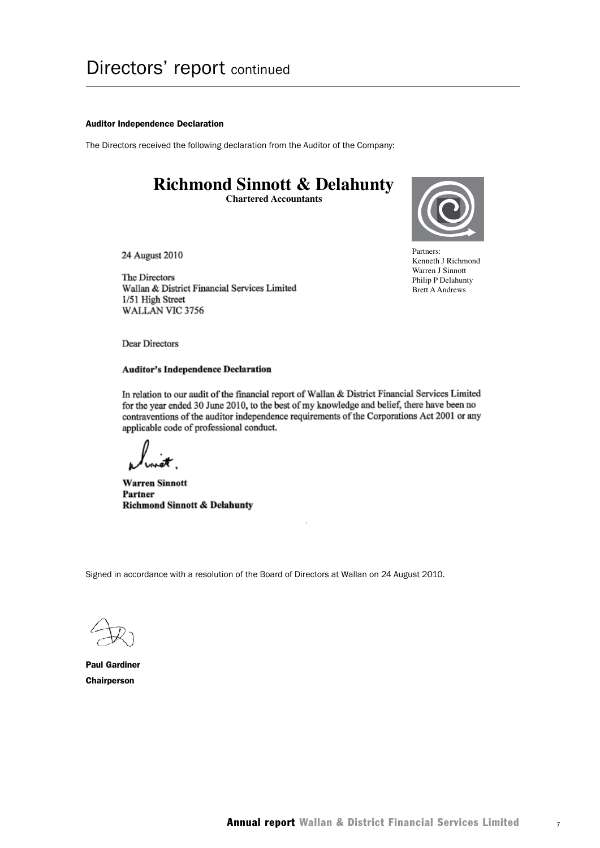#### Auditor Independence Declaration

The Directors received the following declaration from the Auditor of the Company:

## **Richmond Sinnott & Delahunty**

**Chartered Accountants**



Partners: Partners:<br>Kenneth J Richmond Warren J Sinnott Philip P Delahunty Brett A Andrews

24 August 2010

The Directors Wallan & District Financial Services Limited 1/51 High Street WALLAN VIC 3756

Dear Directors

#### **Auditor's Independence Declaration**

In relation to our audit of the financial report of Wallan & District Financial Services Limited for the year ended 30 June 2010, to the best of my knowledge and belief, there have been no contraventions of the auditor independence requirements of the Corporations Act 2001 or any applicable code of professional conduct.

**Warren Sinnott** Partner **Richmond Sinnott & Delahunty** 

Signed in accordance with a resolution of the Board of Directors at Wallan on 24 August 2010.

Paul Gardiner **Chairperson**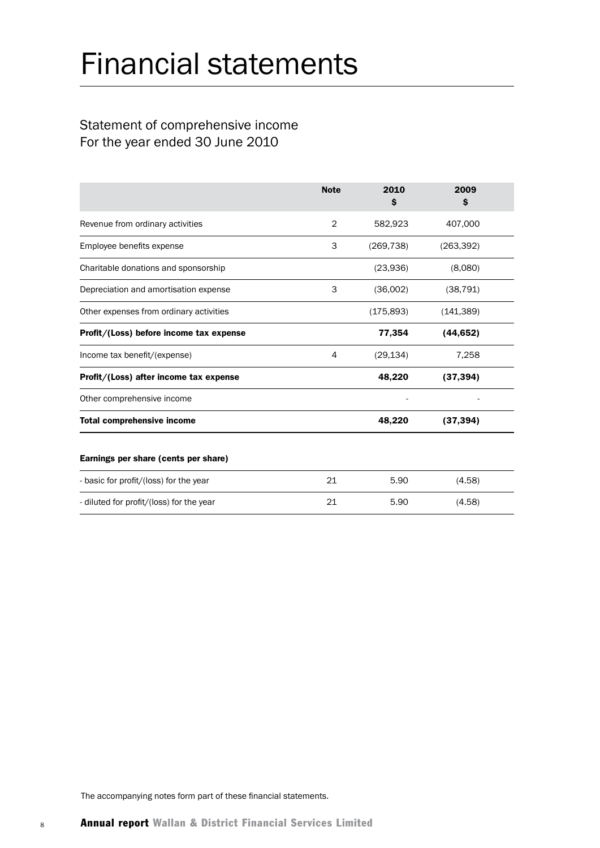# Financial statements

## Statement of comprehensive income For the year ended 30 June 2010

|                                          | <b>Note</b>    | 2010<br>s  | 2009<br>s  |
|------------------------------------------|----------------|------------|------------|
| Revenue from ordinary activities         | $\overline{2}$ | 582,923    | 407,000    |
| Employee benefits expense                | 3              | (269, 738) | (263, 392) |
| Charitable donations and sponsorship     |                | (23,936)   | (8,080)    |
| Depreciation and amortisation expense    | 3              | (36,002)   | (38, 791)  |
| Other expenses from ordinary activities  |                | (175, 893) | (141, 389) |
| Profit/(Loss) before income tax expense  |                | 77,354     | (44, 652)  |
| Income tax benefit/(expense)             | 4              | (29, 134)  | 7,258      |
| Profit/(Loss) after income tax expense   |                | 48,220     | (37, 394)  |
| Other comprehensive income               |                |            |            |
| <b>Total comprehensive income</b>        |                | 48,220     | (37, 394)  |
| Earnings per share (cents per share)     |                |            |            |
| - basic for profit/(loss) for the year   | 21             | 5.90       | (4.58)     |
| - diluted for profit/(loss) for the year | 21             | 5.90       | (4.58)     |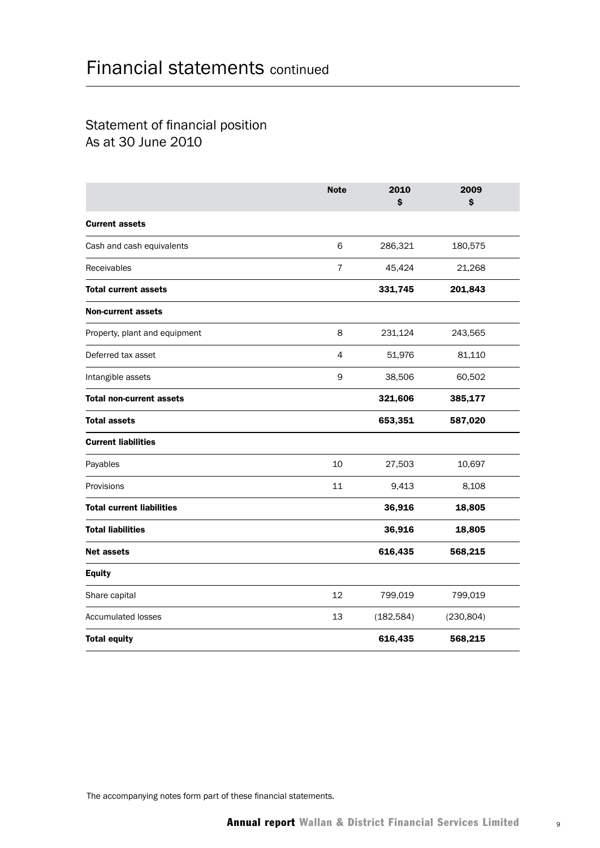## Statement of financial position As at 30 June 2010

|                                  | <b>Note</b>    | 2010<br>\$ | 2009<br>\$ |  |
|----------------------------------|----------------|------------|------------|--|
| <b>Current assets</b>            |                |            |            |  |
| Cash and cash equivalents        | 6              | 286,321    | 180,575    |  |
| Receivables                      | $\overline{7}$ | 45,424     | 21,268     |  |
| <b>Total current assets</b>      |                | 331,745    | 201,843    |  |
| <b>Non-current assets</b>        |                |            |            |  |
| Property, plant and equipment    | 8              | 231,124    | 243,565    |  |
| Deferred tax asset               | $\overline{4}$ | 51,976     | 81,110     |  |
| Intangible assets                | 9              | 38,506     | 60,502     |  |
| <b>Total non-current assets</b>  |                | 321,606    | 385,177    |  |
| <b>Total assets</b>              |                | 653,351    | 587,020    |  |
| <b>Current liabilities</b>       |                |            |            |  |
| Payables                         | 10             | 27,503     | 10,697     |  |
| Provisions                       | 11             | 9,413      | 8,108      |  |
| <b>Total current liabilities</b> |                | 36,916     | 18,805     |  |
| <b>Total liabilities</b>         |                | 36,916     | 18,805     |  |
| <b>Net assets</b>                |                | 616,435    | 568,215    |  |
| <b>Equity</b>                    |                |            |            |  |
| Share capital                    | 12             | 799,019    | 799,019    |  |
| <b>Accumulated losses</b>        | 13             | (182, 584) | (230, 804) |  |
| <b>Total equity</b>              |                | 616,435    | 568,215    |  |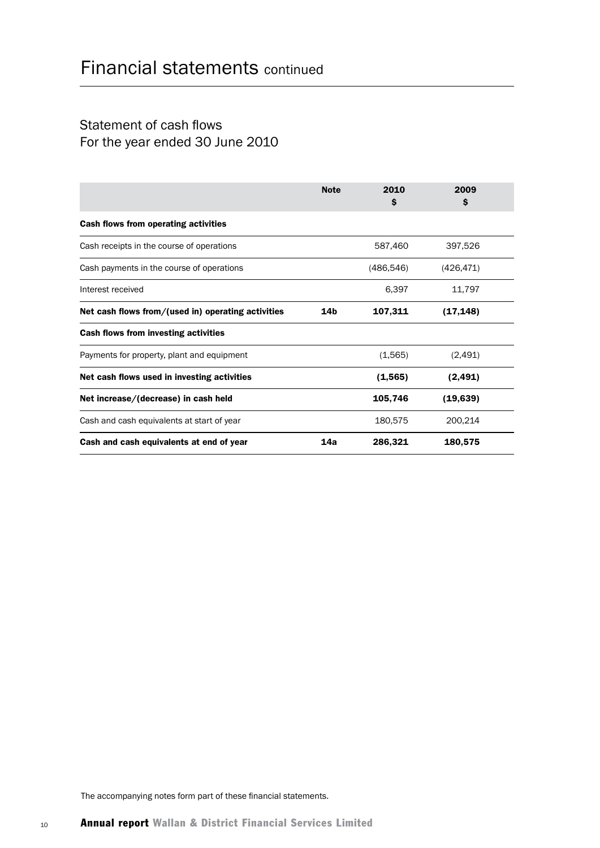## Statement of cash flows For the year ended 30 June 2010

|                                                    | <b>Note</b>     | 2010<br>\$ | 2009<br>\$ |  |
|----------------------------------------------------|-----------------|------------|------------|--|
| Cash flows from operating activities               |                 |            |            |  |
| Cash receipts in the course of operations          |                 | 587,460    | 397,526    |  |
| Cash payments in the course of operations          |                 | (486, 546) | (426, 471) |  |
| Interest received                                  |                 | 6,397      | 11,797     |  |
| Net cash flows from/(used in) operating activities | 14 <sub>b</sub> | 107,311    | (17, 148)  |  |
| Cash flows from investing activities               |                 |            |            |  |
| Payments for property, plant and equipment         |                 | (1,565)    | (2,491)    |  |
| Net cash flows used in investing activities        |                 | (1, 565)   | (2, 491)   |  |
| Net increase/(decrease) in cash held               |                 | 105,746    | (19, 639)  |  |
| Cash and cash equivalents at start of year         |                 | 180,575    | 200,214    |  |
| Cash and cash equivalents at end of year           | 14a             | 286,321    | 180,575    |  |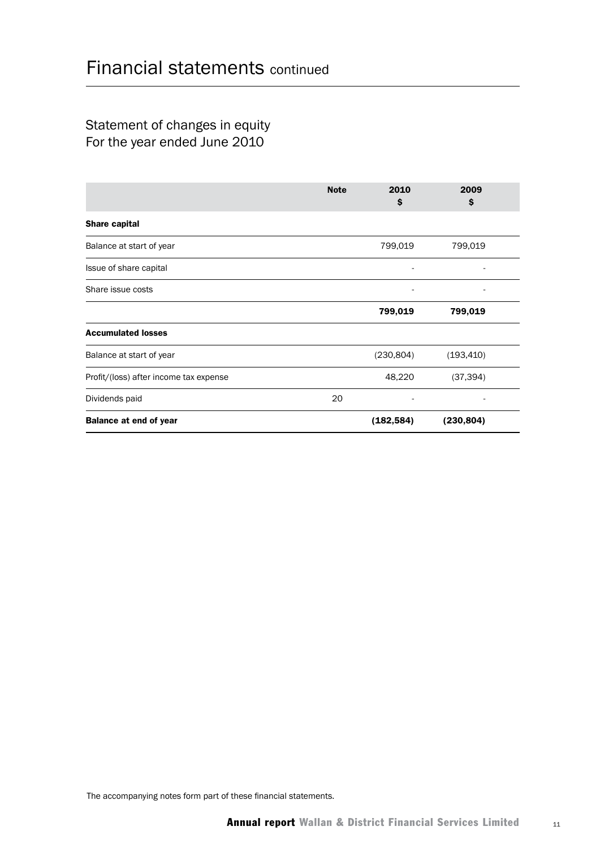## Statement of changes in equity For the year ended June 2010

|                                        | <b>Note</b> | 2010<br>\$ | 2009<br>\$ |  |
|----------------------------------------|-------------|------------|------------|--|
| <b>Share capital</b>                   |             |            |            |  |
| Balance at start of year               |             | 799,019    | 799,019    |  |
| Issue of share capital                 |             |            | ٠          |  |
| Share issue costs                      |             |            |            |  |
|                                        |             | 799,019    | 799,019    |  |
| <b>Accumulated losses</b>              |             |            |            |  |
| Balance at start of year               |             | (230, 804) | (193, 410) |  |
| Profit/(loss) after income tax expense |             | 48,220     | (37, 394)  |  |
| Dividends paid                         | 20          |            |            |  |
| <b>Balance at end of year</b>          |             | (182, 584) | (230, 804) |  |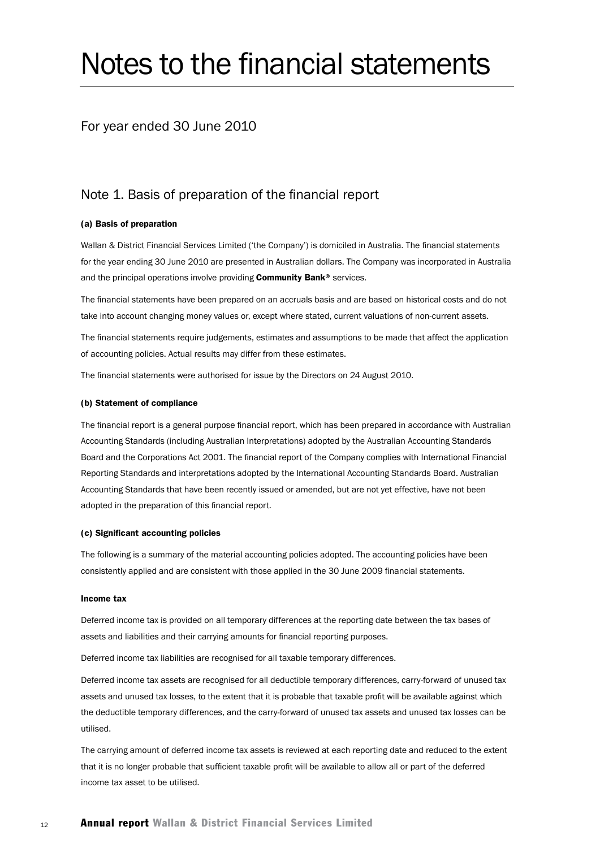# Notes to the financial statements

### For year ended 30 June 2010

## Note 1. Basis of preparation of the financial report

#### (a) Basis of preparation

Wallan & District Financial Services Limited ('the Company') is domiciled in Australia. The financial statements for the year ending 30 June 2010 are presented in Australian dollars. The Company was incorporated in Australia and the principal operations involve providing Community Bank® services.

The financial statements have been prepared on an accruals basis and are based on historical costs and do not take into account changing money values or, except where stated, current valuations of non-current assets.

The financial statements require judgements, estimates and assumptions to be made that affect the application of accounting policies. Actual results may differ from these estimates.

The financial statements were authorised for issue by the Directors on 24 August 2010.

#### (b) Statement of compliance

The financial report is a general purpose financial report, which has been prepared in accordance with Australian Accounting Standards (including Australian Interpretations) adopted by the Australian Accounting Standards Board and the Corporations Act 2001. The financial report of the Company complies with International Financial Reporting Standards and interpretations adopted by the International Accounting Standards Board. Australian Accounting Standards that have been recently issued or amended, but are not yet effective, have not been adopted in the preparation of this financial report.

#### (c) Significant accounting policies

The following is a summary of the material accounting policies adopted. The accounting policies have been consistently applied and are consistent with those applied in the 30 June 2009 financial statements.

#### Income tax

Deferred income tax is provided on all temporary differences at the reporting date between the tax bases of assets and liabilities and their carrying amounts for financial reporting purposes.

Deferred income tax liabilities are recognised for all taxable temporary differences.

Deferred income tax assets are recognised for all deductible temporary differences, carry-forward of unused tax assets and unused tax losses, to the extent that it is probable that taxable profit will be available against which the deductible temporary differences, and the carry-forward of unused tax assets and unused tax losses can be utilised.

The carrying amount of deferred income tax assets is reviewed at each reporting date and reduced to the extent that it is no longer probable that sufficient taxable profit will be available to allow all or part of the deferred income tax asset to be utilised.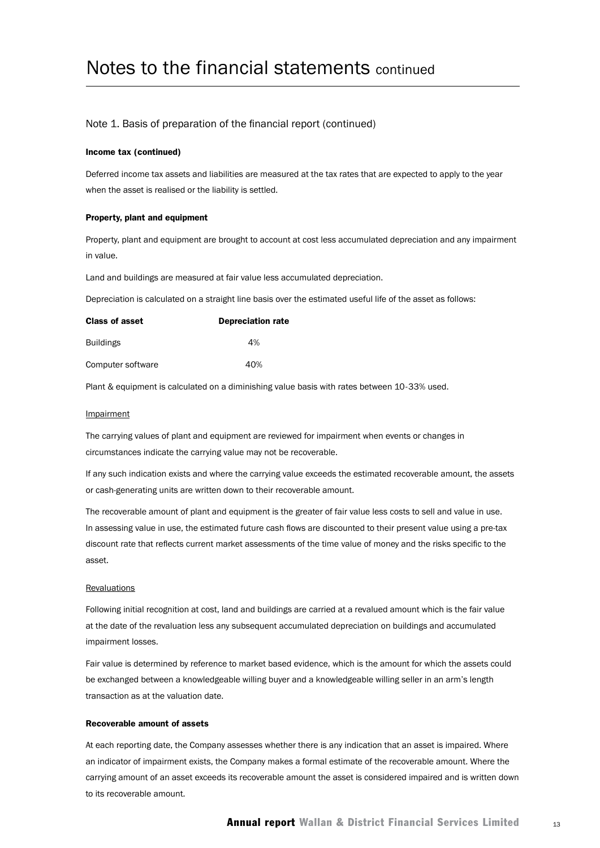#### Note 1. Basis of preparation of the financial report (continued)

#### Income tax (continued)

Deferred income tax assets and liabilities are measured at the tax rates that are expected to apply to the year when the asset is realised or the liability is settled.

#### Property, plant and equipment

Property, plant and equipment are brought to account at cost less accumulated depreciation and any impairment in value.

Land and buildings are measured at fair value less accumulated depreciation.

Depreciation is calculated on a straight line basis over the estimated useful life of the asset as follows:

| <b>Class of asset</b> | <b>Depreciation rate</b> |
|-----------------------|--------------------------|
| <b>Buildings</b>      | 4%                       |
| Computer software     | 40%                      |

Plant & equipment is calculated on a diminishing value basis with rates between 10-33% used.

#### **Impairment**

The carrying values of plant and equipment are reviewed for impairment when events or changes in circumstances indicate the carrying value may not be recoverable.

If any such indication exists and where the carrying value exceeds the estimated recoverable amount, the assets or cash-generating units are written down to their recoverable amount.

The recoverable amount of plant and equipment is the greater of fair value less costs to sell and value in use. In assessing value in use, the estimated future cash flows are discounted to their present value using a pre-tax discount rate that reflects current market assessments of the time value of money and the risks specific to the asset.

#### **Revaluations**

Following initial recognition at cost, land and buildings are carried at a revalued amount which is the fair value at the date of the revaluation less any subsequent accumulated depreciation on buildings and accumulated impairment losses.

Fair value is determined by reference to market based evidence, which is the amount for which the assets could be exchanged between a knowledgeable willing buyer and a knowledgeable willing seller in an arm's length transaction as at the valuation date.

#### Recoverable amount of assets

At each reporting date, the Company assesses whether there is any indication that an asset is impaired. Where an indicator of impairment exists, the Company makes a formal estimate of the recoverable amount. Where the carrying amount of an asset exceeds its recoverable amount the asset is considered impaired and is written down to its recoverable amount.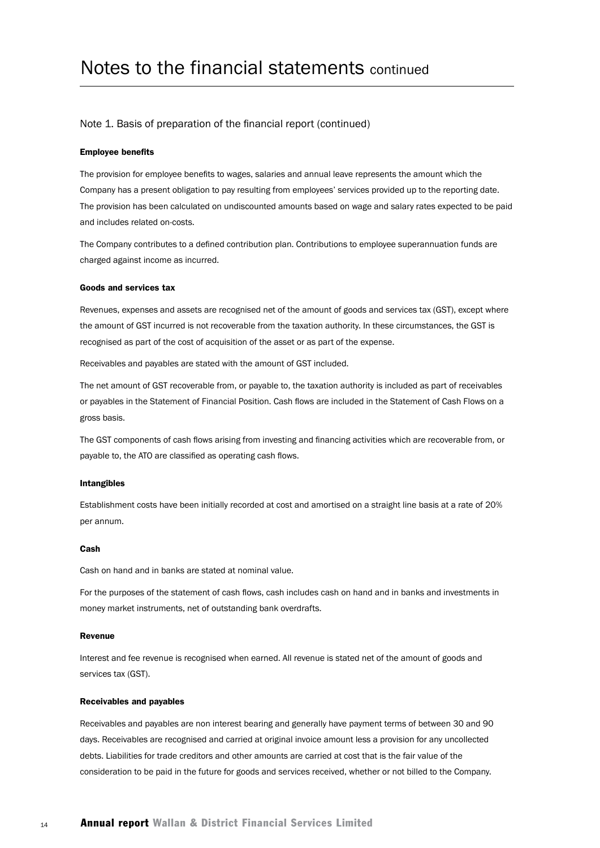#### Note 1. Basis of preparation of the financial report (continued)

#### Employee benefits

The provision for employee benefits to wages, salaries and annual leave represents the amount which the Company has a present obligation to pay resulting from employees' services provided up to the reporting date. The provision has been calculated on undiscounted amounts based on wage and salary rates expected to be paid and includes related on-costs.

The Company contributes to a defined contribution plan. Contributions to employee superannuation funds are charged against income as incurred.

#### Goods and services tax

Revenues, expenses and assets are recognised net of the amount of goods and services tax (GST), except where the amount of GST incurred is not recoverable from the taxation authority. In these circumstances, the GST is recognised as part of the cost of acquisition of the asset or as part of the expense.

Receivables and payables are stated with the amount of GST included.

The net amount of GST recoverable from, or payable to, the taxation authority is included as part of receivables or payables in the Statement of Financial Position. Cash flows are included in the Statement of Cash Flows on a gross basis.

The GST components of cash flows arising from investing and financing activities which are recoverable from, or payable to, the ATO are classified as operating cash flows.

#### Intangibles

Establishment costs have been initially recorded at cost and amortised on a straight line basis at a rate of 20% per annum.

#### Cash

Cash on hand and in banks are stated at nominal value.

For the purposes of the statement of cash flows, cash includes cash on hand and in banks and investments in money market instruments, net of outstanding bank overdrafts.

#### Revenue

Interest and fee revenue is recognised when earned. All revenue is stated net of the amount of goods and services tax (GST).

#### Receivables and payables

Receivables and payables are non interest bearing and generally have payment terms of between 30 and 90 days. Receivables are recognised and carried at original invoice amount less a provision for any uncollected debts. Liabilities for trade creditors and other amounts are carried at cost that is the fair value of the consideration to be paid in the future for goods and services received, whether or not billed to the Company.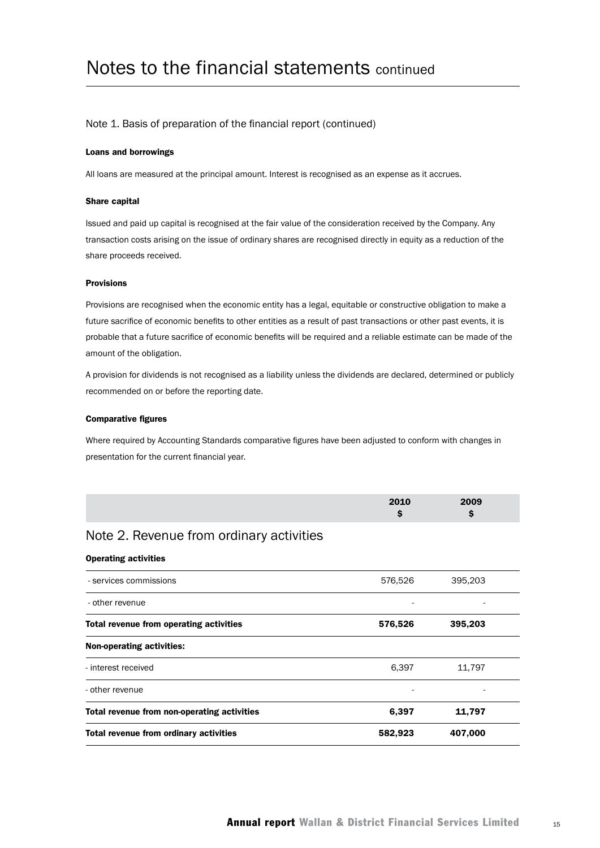#### Note 1. Basis of preparation of the financial report (continued)

#### Loans and borrowings

All loans are measured at the principal amount. Interest is recognised as an expense as it accrues.

#### Share capital

Issued and paid up capital is recognised at the fair value of the consideration received by the Company. Any transaction costs arising on the issue of ordinary shares are recognised directly in equity as a reduction of the share proceeds received.

#### Provisions

Provisions are recognised when the economic entity has a legal, equitable or constructive obligation to make a future sacrifice of economic benefits to other entities as a result of past transactions or other past events, it is probable that a future sacrifice of economic benefits will be required and a reliable estimate can be made of the amount of the obligation.

A provision for dividends is not recognised as a liability unless the dividends are declared, determined or publicly recommended on or before the reporting date.

#### Comparative figures

Where required by Accounting Standards comparative figures have been adjusted to conform with changes in presentation for the current financial year.

| 2010 | 2009 |
|------|------|
|      |      |
|      |      |

### Note 2. Revenue from ordinary activities

#### Operating activities

| Total revenue from ordinary activities      | 582,923 | 407,000 |  |
|---------------------------------------------|---------|---------|--|
| Total revenue from non-operating activities | 6,397   | 11,797  |  |
| - other revenue                             |         |         |  |
| - interest received                         | 6,397   | 11,797  |  |
| <b>Non-operating activities:</b>            |         |         |  |
| Total revenue from operating activities     | 576,526 | 395,203 |  |
| - other revenue                             |         |         |  |
| - services commissions                      | 576,526 | 395,203 |  |
|                                             |         |         |  |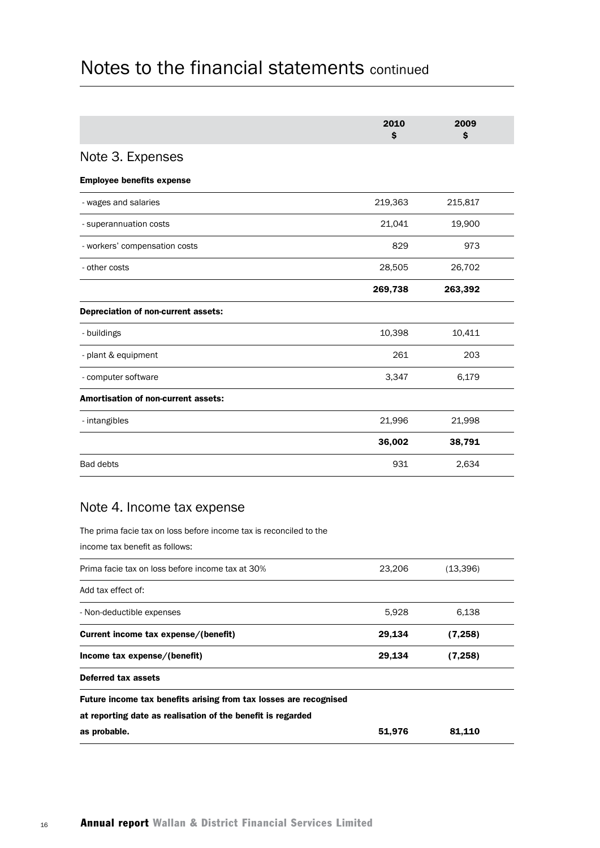|                                            | 2010<br>\$ | 2009<br>\$ |  |
|--------------------------------------------|------------|------------|--|
| Note 3. Expenses                           |            |            |  |
| <b>Employee benefits expense</b>           |            |            |  |
| - wages and salaries                       | 219,363    | 215,817    |  |
| - superannuation costs                     | 21,041     | 19,900     |  |
| - workers' compensation costs              | 829        | 973        |  |
| - other costs                              | 28,505     | 26,702     |  |
|                                            | 269,738    | 263,392    |  |
| Depreciation of non-current assets:        |            |            |  |
| - buildings                                | 10,398     | 10,411     |  |
| - plant & equipment                        | 261        | 203        |  |
| - computer software                        | 3,347      | 6,179      |  |
| <b>Amortisation of non-current assets:</b> |            |            |  |
| - intangibles                              | 21,996     | 21,998     |  |
|                                            | 36,002     | 38,791     |  |
| <b>Bad debts</b>                           | 931        | 2,634      |  |

## Note 4. Income tax expense

The prima facie tax on loss before income tax is reconciled to the

income tax benefit as follows:

| Prima facie tax on loss before income tax at 30%                  | 23.206 | (13,396) |
|-------------------------------------------------------------------|--------|----------|
| Add tax effect of:                                                |        |          |
| - Non-deductible expenses                                         | 5,928  | 6,138    |
| Current income tax expense/(benefit)                              | 29,134 | (7,258)  |
| Income tax expense/(benefit)                                      | 29,134 | (7,258)  |
| Deferred tax assets                                               |        |          |
| Future income tax benefits arising from tax losses are recognised |        |          |
| at reporting date as realisation of the benefit is regarded       |        |          |
| as probable.                                                      | 51,976 | 81,110   |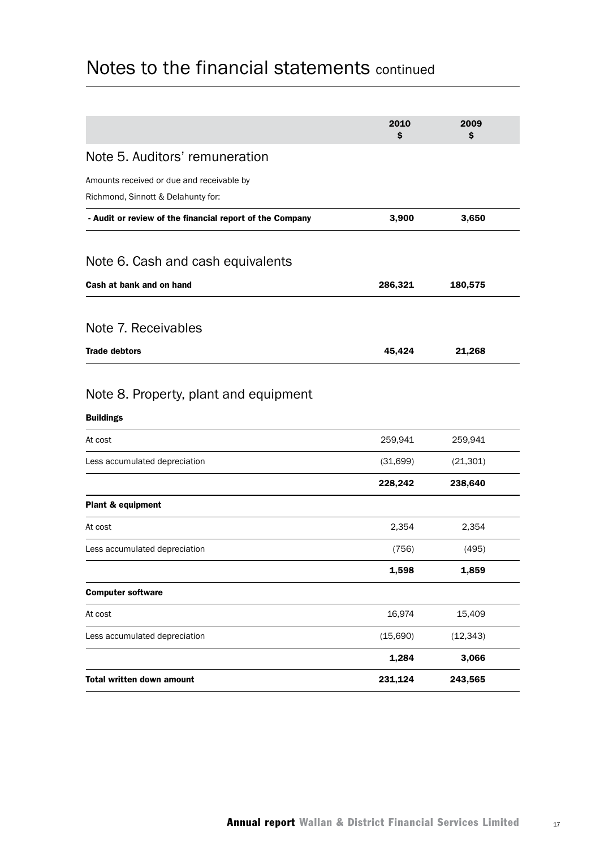|                                                                                 | 2010<br>\$ | 2009<br>\$ |  |
|---------------------------------------------------------------------------------|------------|------------|--|
| Note 5. Auditors' remuneration                                                  |            |            |  |
| Amounts received or due and receivable by<br>Richmond, Sinnott & Delahunty for: |            |            |  |
| - Audit or review of the financial report of the Company                        | 3,900      | 3,650      |  |
|                                                                                 |            |            |  |
| Note 6. Cash and cash equivalents                                               |            |            |  |
| Cash at bank and on hand                                                        | 286,321    | 180,575    |  |
| Note 7. Receivables                                                             |            |            |  |
| <b>Trade debtors</b>                                                            | 45,424     | 21,268     |  |
| Note 8. Property, plant and equipment<br><b>Buildings</b>                       |            |            |  |
|                                                                                 |            |            |  |
| At cost                                                                         | 259,941    | 259,941    |  |
| Less accumulated depreciation                                                   | (31,699)   | (21, 301)  |  |
|                                                                                 | 228,242    | 238,640    |  |
| Plant & equipment                                                               |            |            |  |
| At cost                                                                         | 2,354      | 2,354      |  |
| Less accumulated depreciation                                                   | (756)      | (495)      |  |
|                                                                                 | 1,598      | 1,859      |  |
| <b>Computer software</b>                                                        |            |            |  |
| At cost                                                                         | 16,974     | 15,409     |  |
| Less accumulated depreciation                                                   | (15,690)   | (12, 343)  |  |
|                                                                                 | 1,284      | 3,066      |  |
| Total written down amount                                                       | 231,124    | 243,565    |  |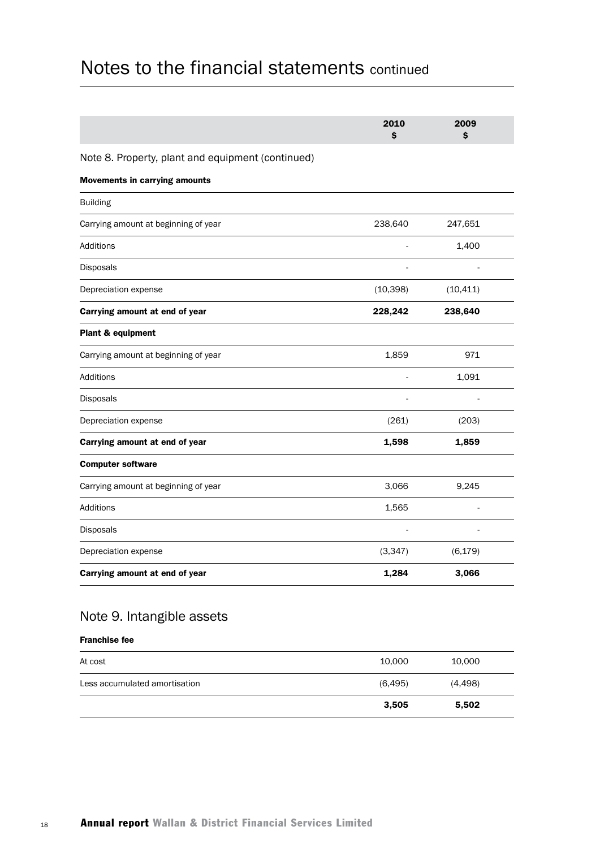|                                                   | 2010<br>Ś | 2009<br>Ś |  |
|---------------------------------------------------|-----------|-----------|--|
| Note 8. Property, plant and equipment (continued) |           |           |  |
| <b>Movements in carrying amounts</b>              |           |           |  |
| <b>Building</b>                                   |           |           |  |
| Carrying amount at beginning of year              | 238,640   | 247,651   |  |
| <b>Additions</b>                                  |           | 1,400     |  |
| Disposals                                         |           |           |  |
| Depreciation expense                              | (10, 398) | (10, 411) |  |
| Carrying amount at end of year                    | 228,242   | 238,640   |  |
| Plant & equipment                                 |           |           |  |
| Carrying amount at beginning of year              | 1,859     | 971       |  |
| <b>Additions</b>                                  |           | 1,091     |  |
| Disposals                                         |           |           |  |
| Depreciation expense                              | (261)     | (203)     |  |
| Carrying amount at end of year                    | 1,598     | 1,859     |  |
| <b>Computer software</b>                          |           |           |  |
| Carrying amount at beginning of year              | 3,066     | 9,245     |  |
| Additions                                         | 1,565     |           |  |
| Disposals                                         |           |           |  |
| Depreciation expense                              | (3, 347)  | (6, 179)  |  |
| Carrying amount at end of year                    | 1,284     | 3,066     |  |

## Note 9. Intangible assets

#### Franchise fee

|                               | 3,505    | 5,502    |  |
|-------------------------------|----------|----------|--|
| Less accumulated amortisation | (6, 495) | (4, 498) |  |
| At cost                       | 10,000   | 10,000   |  |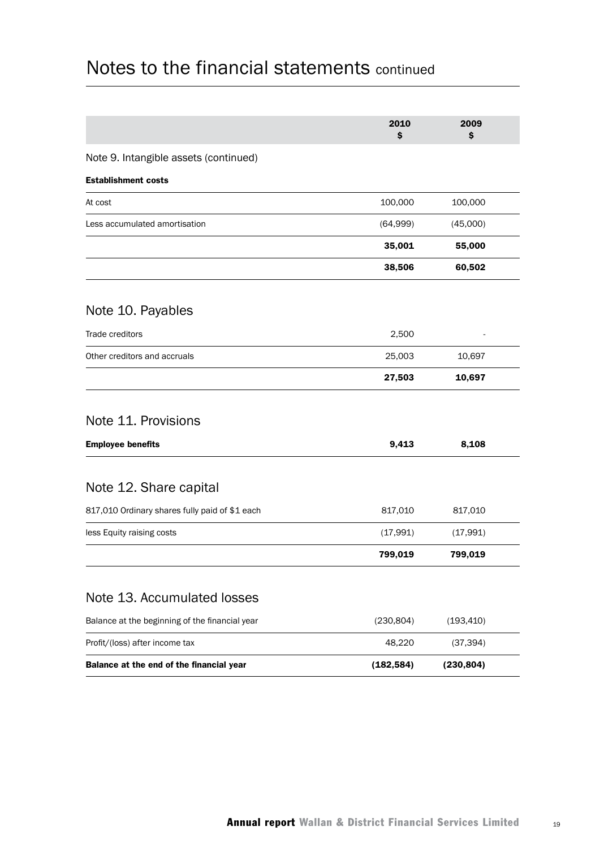|                                                | 2010<br>s  | 2009<br>\$ |  |
|------------------------------------------------|------------|------------|--|
| Note 9. Intangible assets (continued)          |            |            |  |
| <b>Establishment costs</b>                     |            |            |  |
| At cost                                        | 100,000    | 100,000    |  |
| Less accumulated amortisation                  | (64,999)   | (45,000)   |  |
|                                                | 35,001     | 55,000     |  |
|                                                | 38,506     | 60,502     |  |
| Note 10. Payables                              |            |            |  |
| Trade creditors                                | 2,500      |            |  |
| Other creditors and accruals                   | 25,003     | 10,697     |  |
|                                                | 27,503     | 10,697     |  |
| Note 11. Provisions                            |            |            |  |
| <b>Employee benefits</b>                       | 9,413      | 8,108      |  |
| Note 12. Share capital                         |            |            |  |
| 817,010 Ordinary shares fully paid of \$1 each | 817,010    | 817,010    |  |
| less Equity raising costs                      | (17,991)   | (17,991)   |  |
|                                                | 799,019    | 799,019    |  |
| Note 13. Accumulated losses                    |            |            |  |
| Balance at the beginning of the financial year | (230, 804) | (193, 410) |  |
| Profit/(loss) after income tax                 | 48,220     | (37, 394)  |  |
| Balance at the end of the financial year       | (182, 584) | (230, 804) |  |
|                                                |            |            |  |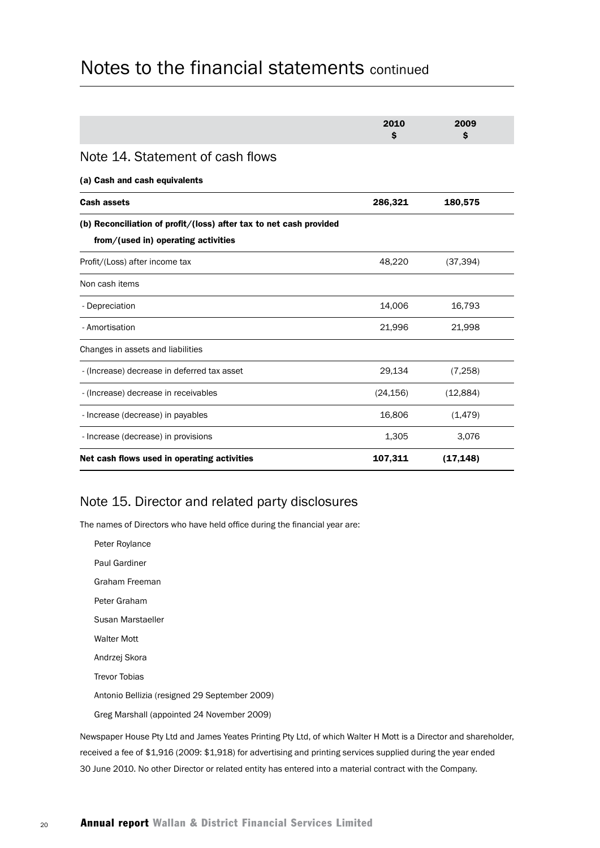|                                                                                                           | 2010<br>Ŝ | 2009<br>Ŝ |  |
|-----------------------------------------------------------------------------------------------------------|-----------|-----------|--|
| Note 14. Statement of cash flows                                                                          |           |           |  |
| (a) Cash and cash equivalents                                                                             |           |           |  |
| <b>Cash assets</b>                                                                                        | 286,321   | 180,575   |  |
| (b) Reconciliation of profit/(loss) after tax to net cash provided<br>from/(used in) operating activities |           |           |  |
| Profit/(Loss) after income tax                                                                            | 48,220    | (37, 394) |  |
| Non cash items                                                                                            |           |           |  |
| - Depreciation                                                                                            | 14,006    | 16,793    |  |
| - Amortisation                                                                                            | 21,996    | 21,998    |  |
| Changes in assets and liabilities                                                                         |           |           |  |
| - (Increase) decrease in deferred tax asset                                                               | 29,134    | (7, 258)  |  |
| - (Increase) decrease in receivables                                                                      | (24, 156) | (12,884)  |  |
| - Increase (decrease) in payables                                                                         | 16,806    | (1, 479)  |  |
| - Increase (decrease) in provisions                                                                       | 1,305     | 3,076     |  |
| Net cash flows used in operating activities                                                               | 107,311   | (17, 148) |  |

### Note 15. Director and related party disclosures

The names of Directors who have held office during the financial year are:

Peter Roylance Paul Gardiner Graham Freeman Peter Graham Susan Marstaeller Walter Mott Andrzej Skora Trevor Tobias Antonio Bellizia (resigned 29 September 2009) Greg Marshall (appointed 24 November 2009)

Newspaper House Pty Ltd and James Yeates Printing Pty Ltd, of which Walter H Mott is a Director and shareholder, received a fee of \$1,916 (2009: \$1,918) for advertising and printing services supplied during the year ended 30 June 2010. No other Director or related entity has entered into a material contract with the Company.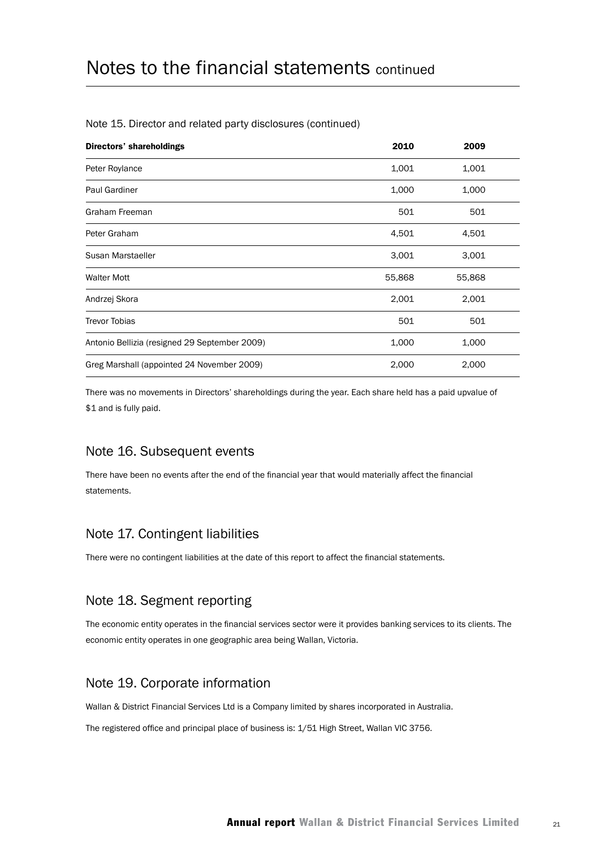| <b>Directors' shareholdings</b>               | 2010   | 2009   |  |
|-----------------------------------------------|--------|--------|--|
| Peter Roylance                                | 1,001  | 1,001  |  |
| <b>Paul Gardiner</b>                          | 1,000  | 1,000  |  |
| Graham Freeman                                | 501    | 501    |  |
| Peter Graham                                  | 4,501  | 4,501  |  |
| Susan Marstaeller                             | 3,001  | 3,001  |  |
| <b>Walter Mott</b>                            | 55,868 | 55,868 |  |
| Andrzej Skora                                 | 2,001  | 2,001  |  |
| <b>Trevor Tobias</b>                          | 501    | 501    |  |
| Antonio Bellizia (resigned 29 September 2009) | 1,000  | 1,000  |  |
| Greg Marshall (appointed 24 November 2009)    | 2,000  | 2,000  |  |

#### Note 15. Director and related party disclosures (continued)

There was no movements in Directors' shareholdings during the year. Each share held has a paid upvalue of \$1 and is fully paid.

### Note 16. Subsequent events

There have been no events after the end of the financial year that would materially affect the financial statements.

### Note 17. Contingent liabilities

There were no contingent liabilities at the date of this report to affect the financial statements.

## Note 18. Segment reporting

The economic entity operates in the financial services sector were it provides banking services to its clients. The economic entity operates in one geographic area being Wallan, Victoria.

## Note 19. Corporate information

Wallan & District Financial Services Ltd is a Company limited by shares incorporated in Australia.

The registered office and principal place of business is: 1/51 High Street, Wallan VIC 3756.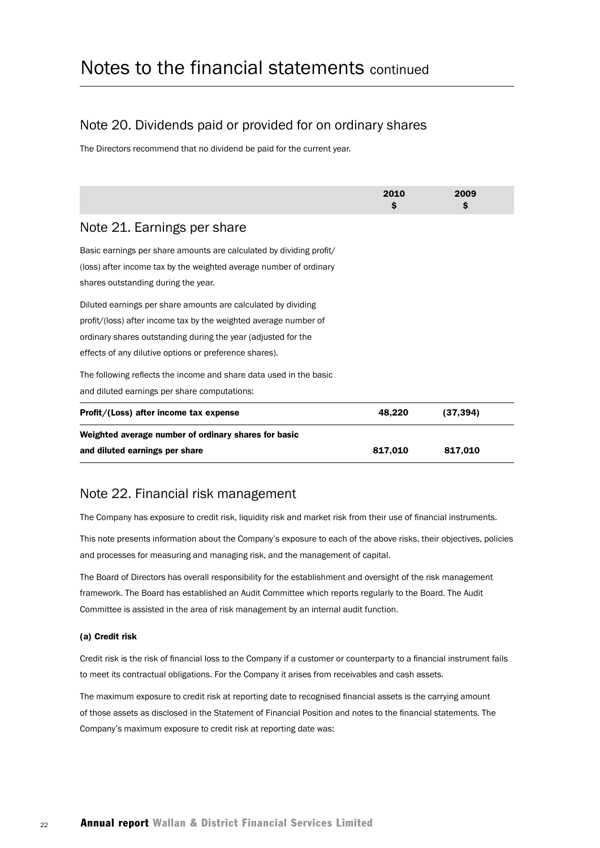## Note 20. Dividends paid or provided for on ordinary shares

The Directors recommend that no dividend be paid for the current year.

|                                                                                                                                           | 2010<br>s | 2009<br>\$ |  |
|-------------------------------------------------------------------------------------------------------------------------------------------|-----------|------------|--|
| Note 21. Earnings per share                                                                                                               |           |            |  |
| Basic earnings per share amounts are calculated by dividing profit/<br>(loss) after income tax by the weighted average number of ordinary |           |            |  |
| shares outstanding during the year.                                                                                                       |           |            |  |
| Diluted earnings per share amounts are calculated by dividing                                                                             |           |            |  |
| profit/(loss) after income tax by the weighted average number of                                                                          |           |            |  |
| ordinary shares outstanding during the year (adjusted for the                                                                             |           |            |  |
| effects of any dilutive options or preference shares).                                                                                    |           |            |  |
| The following reflects the income and share data used in the basic                                                                        |           |            |  |
| and diluted earnings per share computations:                                                                                              |           |            |  |
| Profit/(Loss) after income tax expense                                                                                                    | 48,220    | (37, 394)  |  |
| Weighted average number of ordinary shares for basic                                                                                      |           |            |  |
| and diluted earnings per share                                                                                                            | 817,010   | 817,010    |  |

## Note 22. Financial risk management

The Company has exposure to credit risk, liquidity risk and market risk from their use of financial instruments.

This note presents information about the Company's exposure to each of the above risks, their objectives, policies and processes for measuring and managing risk, and the management of capital.

The Board of Directors has overall responsibility for the establishment and oversight of the risk management framework. The Board has established an Audit Committee which reports regularly to the Board. The Audit Committee is assisted in the area of risk management by an internal audit function.

#### (a) Credit risk

Credit risk is the risk of financial loss to the Company if a customer or counterparty to a financial instrument fails to meet its contractual obligations. For the Company it arises from receivables and cash assets.

The maximum exposure to credit risk at reporting date to recognised financial assets is the carrying amount of those assets as disclosed in the Statement of Financial Position and notes to the financial statements. The Company's maximum exposure to credit risk at reporting date was: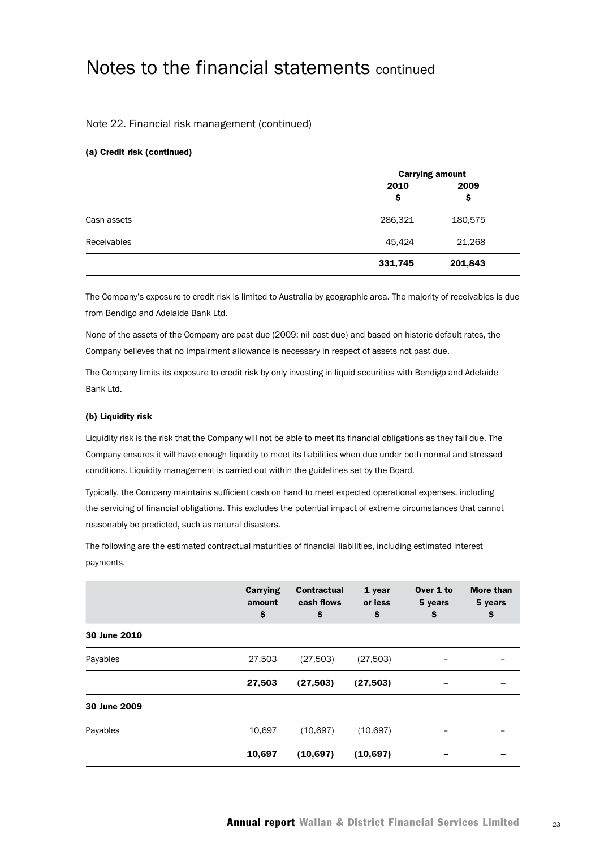#### Note 22. Financial risk management (continued)

#### (a) Credit risk (continued)

|             | <b>Carrying amount</b> |            |  |
|-------------|------------------------|------------|--|
|             | 2010<br>\$             | 2009<br>\$ |  |
| Cash assets | 286,321                | 180,575    |  |
| Receivables | 45,424                 | 21,268     |  |
|             | 331,745                | 201,843    |  |

The Company's exposure to credit risk is limited to Australia by geographic area. The majority of receivables is due from Bendigo and Adelaide Bank Ltd.

None of the assets of the Company are past due (2009: nil past due) and based on historic default rates, the Company believes that no impairment allowance is necessary in respect of assets not past due.

The Company limits its exposure to credit risk by only investing in liquid securities with Bendigo and Adelaide Bank Ltd.

#### (b) Liquidity risk

Liquidity risk is the risk that the Company will not be able to meet its financial obligations as they fall due. The Company ensures it will have enough liquidity to meet its liabilities when due under both normal and stressed conditions. Liquidity management is carried out within the guidelines set by the Board.

Typically, the Company maintains sufficient cash on hand to meet expected operational expenses, including the servicing of financial obligations. This excludes the potential impact of extreme circumstances that cannot reasonably be predicted, such as natural disasters.

The following are the estimated contractual maturities of financial liabilities, including estimated interest payments.

|              | <b>Carrying</b><br>amount<br>\$ | <b>Contractual</b><br>cash flows<br>\$ | 1 year<br>or less<br>\$ | Over 1 to<br>5 years<br>\$ | <b>More than</b><br>5 years<br>\$ |
|--------------|---------------------------------|----------------------------------------|-------------------------|----------------------------|-----------------------------------|
| 30 June 2010 |                                 |                                        |                         |                            |                                   |
| Payables     | 27,503                          | (27, 503)                              | (27, 503)               |                            |                                   |
|              | 27,503                          | (27, 503)                              | (27, 503)               |                            |                                   |
| 30 June 2009 |                                 |                                        |                         |                            |                                   |
| Payables     | 10,697                          | (10,697)                               | (10, 697)               |                            |                                   |
|              | 10,697                          | (10, 697)                              | (10, 697)               |                            |                                   |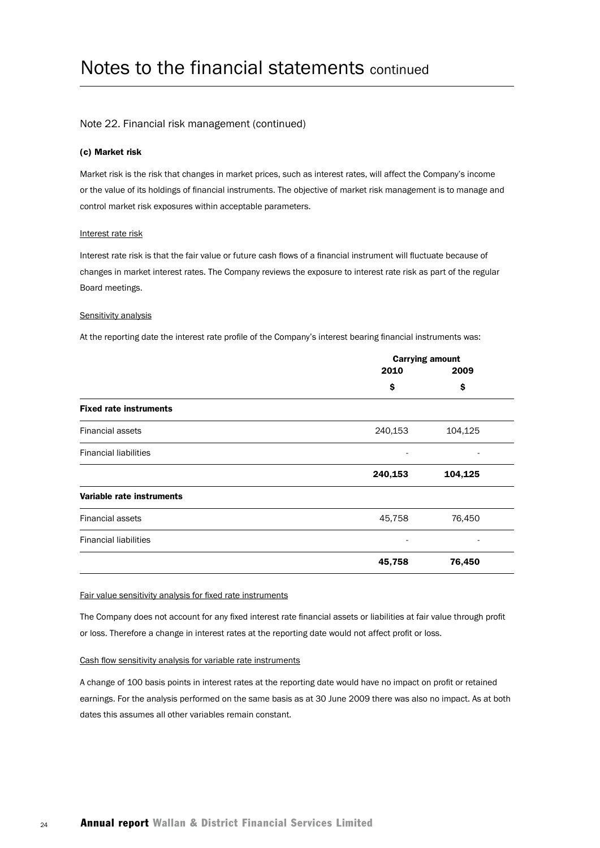#### Note 22. Financial risk management (continued)

#### (c) Market risk

Market risk is the risk that changes in market prices, such as interest rates, will affect the Company's income or the value of its holdings of financial instruments. The objective of market risk management is to manage and control market risk exposures within acceptable parameters.

#### Interest rate risk

Interest rate risk is that the fair value or future cash flows of a financial instrument will fluctuate because of changes in market interest rates. The Company reviews the exposure to interest rate risk as part of the regular Board meetings.

#### Sensitivity analysis

At the reporting date the interest rate profile of the Company's interest bearing financial instruments was:

|                               | <b>Carrying amount</b> |         |  |
|-------------------------------|------------------------|---------|--|
|                               | 2010                   | 2009    |  |
|                               | \$                     | \$      |  |
| <b>Fixed rate instruments</b> |                        |         |  |
| <b>Financial assets</b>       | 240,153                | 104,125 |  |
| <b>Financial liabilities</b>  |                        |         |  |
|                               | 240,153                | 104,125 |  |
| Variable rate instruments     |                        |         |  |
| <b>Financial assets</b>       | 45,758                 | 76,450  |  |
| <b>Financial liabilities</b>  | -                      |         |  |
|                               | 45,758                 | 76,450  |  |

#### Fair value sensitivity analysis for fixed rate instruments

The Company does not account for any fixed interest rate financial assets or liabilities at fair value through profit or loss. Therefore a change in interest rates at the reporting date would not affect profit or loss.

#### Cash flow sensitivity analysis for variable rate instruments

A change of 100 basis points in interest rates at the reporting date would have no impact on profit or retained earnings. For the analysis performed on the same basis as at 30 June 2009 there was also no impact. As at both dates this assumes all other variables remain constant.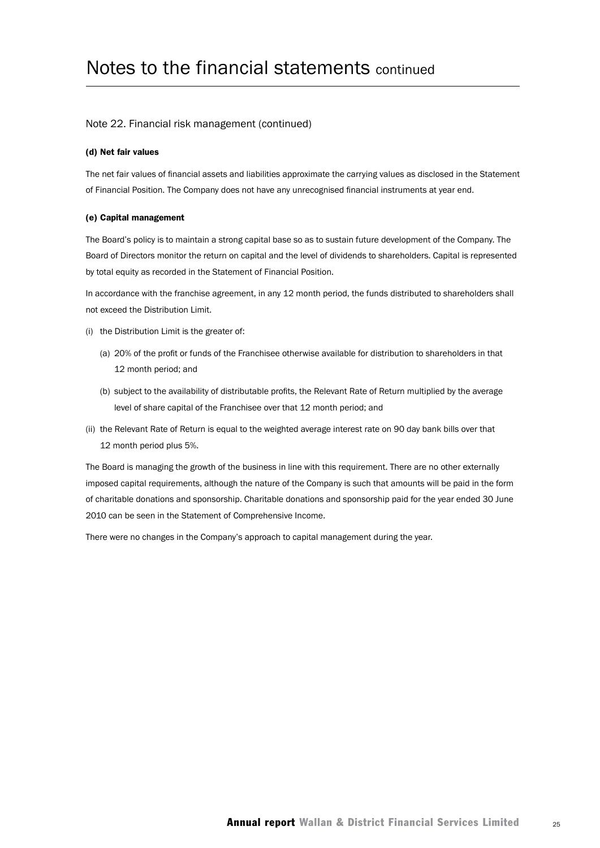#### Note 22. Financial risk management (continued)

#### (d) Net fair values

The net fair values of financial assets and liabilities approximate the carrying values as disclosed in the Statement of Financial Position. The Company does not have any unrecognised financial instruments at year end.

#### (e) Capital management

The Board's policy is to maintain a strong capital base so as to sustain future development of the Company. The Board of Directors monitor the return on capital and the level of dividends to shareholders. Capital is represented by total equity as recorded in the Statement of Financial Position.

In accordance with the franchise agreement, in any 12 month period, the funds distributed to shareholders shall not exceed the Distribution Limit.

- (i) the Distribution Limit is the greater of:
	- (a) 20% of the profit or funds of the Franchisee otherwise available for distribution to shareholders in that 12 month period; and
	- (b) subject to the availability of distributable profits, the Relevant Rate of Return multiplied by the average level of share capital of the Franchisee over that 12 month period; and
- (ii) the Relevant Rate of Return is equal to the weighted average interest rate on 90 day bank bills over that 12 month period plus 5%.

The Board is managing the growth of the business in line with this requirement. There are no other externally imposed capital requirements, although the nature of the Company is such that amounts will be paid in the form of charitable donations and sponsorship. Charitable donations and sponsorship paid for the year ended 30 June 2010 can be seen in the Statement of Comprehensive Income.

There were no changes in the Company's approach to capital management during the year.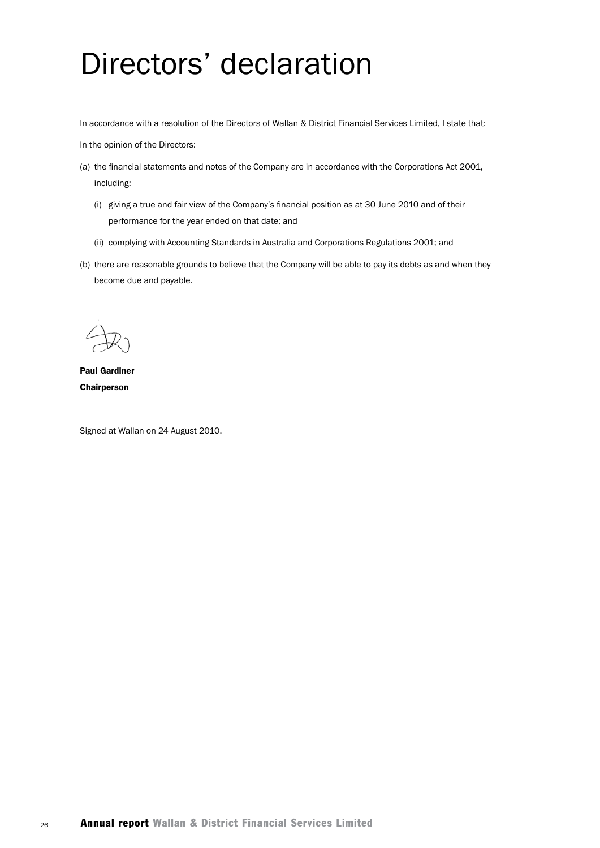# Directors' declaration

In accordance with a resolution of the Directors of Wallan & District Financial Services Limited, I state that:

In the opinion of the Directors:

- (a) the financial statements and notes of the Company are in accordance with the Corporations Act 2001, including:
	- (i) giving a true and fair view of the Company's financial position as at 30 June 2010 and of their performance for the year ended on that date; and
	- (ii) complying with Accounting Standards in Australia and Corporations Regulations 2001; and
- (b) there are reasonable grounds to believe that the Company will be able to pay its debts as and when they become due and payable.

Paul Gardiner **Chairperson** 

Signed at Wallan on 24 August 2010.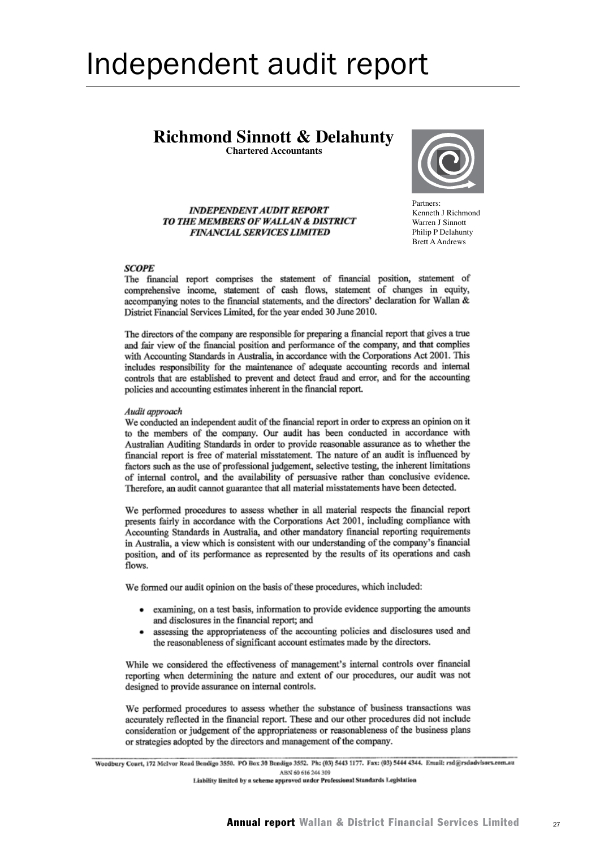# Independent audit report

## **Richmond Sinnott & Delahunty**

**Chartered Accountants**



**INDEPENDENT AUDIT REPORT** TO THE MEMBERS OF WALLAN & DISTRICT **FINANCIAL SERVICES LIMITED** 

Partners:<br>Kenneth J Richmond Warren J Sinnott Philip P Delahunty Partners: Brett A Andrews

#### **SCOPE**

The financial report comprises the statement of financial position, statement of comprehensive income, statement of cash flows, statement of changes in equity, accompanying notes to the financial statements, and the directors' declaration for Wallan & District Financial Services Limited, for the year ended 30 June 2010.

The directors of the company are responsible for preparing a financial report that gives a true and fair view of the financial position and performance of the company, and that complies with Accounting Standards in Australia, in accordance with the Corporations Act 2001. This includes responsibility for the maintenance of adequate accounting records and internal controls that are established to prevent and detect fraud and error, and for the accounting policies and accounting estimates inherent in the financial report.

#### Audit approach

We conducted an independent audit of the financial report in order to express an opinion on it to the members of the company. Our audit has been conducted in accordance with Australian Auditing Standards in order to provide reasonable assurance as to whether the financial report is free of material misstatement. The nature of an audit is influenced by factors such as the use of professional judgement, selective testing, the inherent limitations of internal control, and the availability of persuasive rather than conclusive evidence. Therefore, an audit cannot guarantee that all material misstatements have been detected.

We performed procedures to assess whether in all material respects the financial report presents fairly in accordance with the Corporations Act 2001, including compliance with Accounting Standards in Australia, and other mandatory financial reporting requirements in Australia, a view which is consistent with our understanding of the company's financial position, and of its performance as represented by the results of its operations and cash flows.

We formed our audit opinion on the basis of these procedures, which included:

- examining, on a test basis, information to provide evidence supporting the amounts and disclosures in the financial report; and
- assessing the appropriateness of the accounting policies and disclosures used and  $\bullet$ the reasonableness of significant account estimates made by the directors.

While we considered the effectiveness of management's internal controls over financial reporting when determining the nature and extent of our procedures, our audit was not designed to provide assurance on internal controls.

We performed procedures to assess whether the substance of business transactions was accurately reflected in the financial report. These and our other procedures did not include consideration or judgement of the appropriateness or reasonableness of the business plans or strategies adopted by the directors and management of the company.

Woodbury Court, 172 McIvor Road Bendigo 3550. PO Box 30 Bendigo 3552. Ph: (03) 5443 1177. Fax: (03) 5444 4344. Email: rsd@rsdadvisors.com.au ABN 60 616 244 309

Liability limited by a scheme approved under Professional Standards Legislation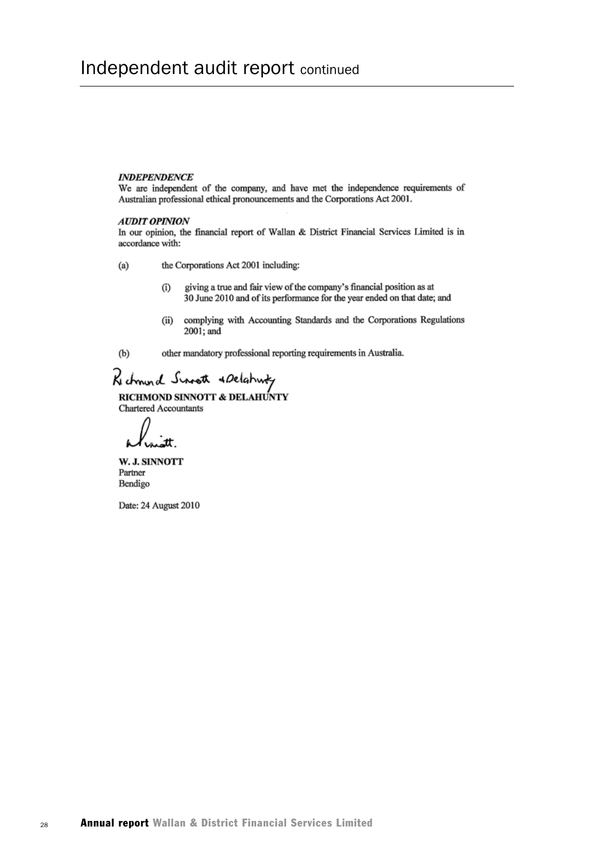#### **INDEPENDENCE**

We are independent of the company, and have met the independence requirements of Australian professional ethical pronouncements and the Corporations Act 2001.

#### **AUDIT OPINION**

In our opinion, the financial report of Wallan & District Financial Services Limited is in accordance with:

- the Corporations Act 2001 including:  $(a)$ 
	- giving a true and fair view of the company's financial position as at  $(i)$ 30 June 2010 and of its performance for the year ended on that date; and
	- complying with Accounting Standards and the Corporations Regulations  $(ii)$ 2001; and

 $(b)$ 

other mandatory professional reporting requirements in Australia.

# Rechnund Surrett & Delahutz<br>RICHMOND SINNOTT & DELAHUNTY

Chartered Accountants

W. J. SINNOTT Partner Bendigo

Date: 24 August 2010